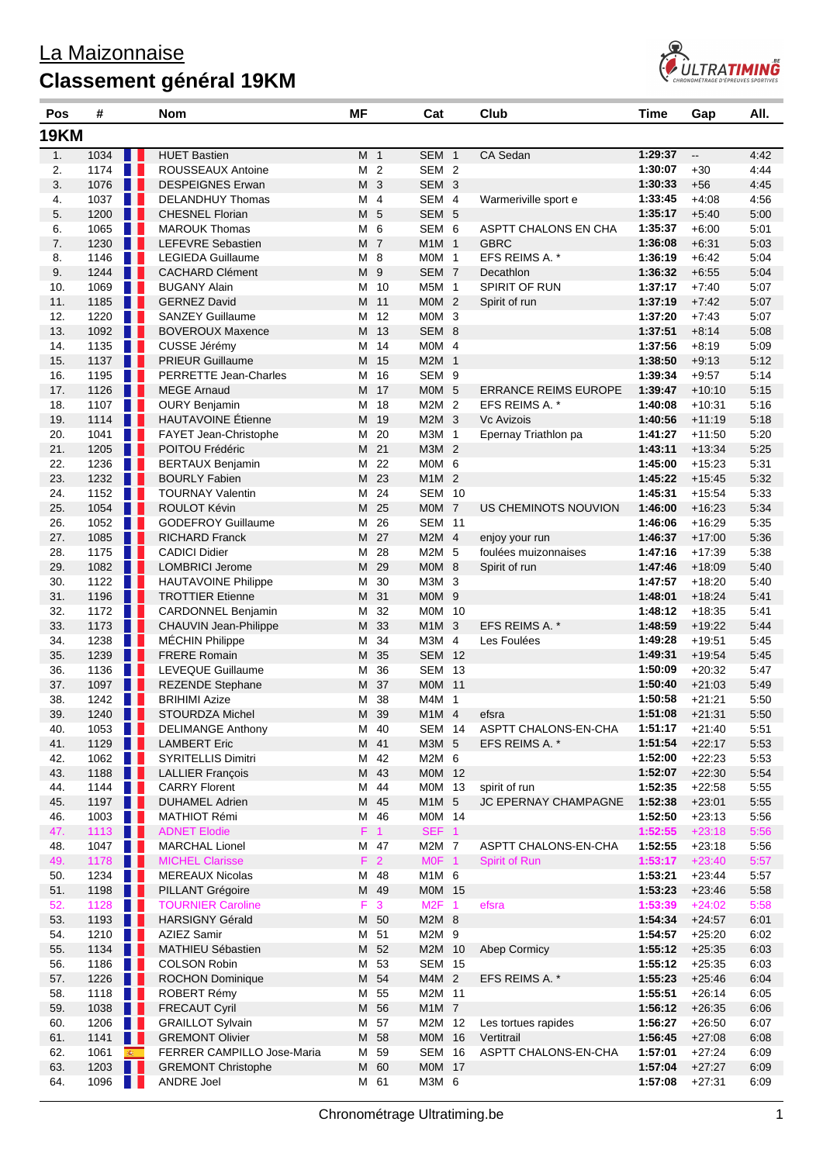

| Pos         | #            |                          | <b>Nom</b>                                      | ΜF     |                 | Cat                            | Club                        | Time               | Gap                      | All.         |
|-------------|--------------|--------------------------|-------------------------------------------------|--------|-----------------|--------------------------------|-----------------------------|--------------------|--------------------------|--------------|
| <b>19KM</b> |              |                          |                                                 |        |                 |                                |                             |                    |                          |              |
| 1.          | 1034         |                          | <b>HUET Bastien</b>                             |        | M 1             | SEM <sub>1</sub>               | CA Sedan                    | 1:29:37            | $\overline{\phantom{a}}$ | 4:42         |
| 2.          | 1174         | n a s                    | ROUSSEAUX Antoine                               |        | M <sub>2</sub>  | SEM <sub>2</sub>               |                             | 1:30:07            | $+30$                    | 4:44         |
| 3.          | 1076         | H L                      | <b>DESPEIGNES Erwan</b>                         |        | M 3             | SEM 3                          |                             | 1:30:33            | $+56$                    | 4:45         |
| 4.          | 1037         | M.                       | <b>DELANDHUY Thomas</b>                         |        | M 4             | SEM 4                          | Warmeriville sport e        | 1:33:45            | $+4:08$                  | 4:56         |
| 5.          | 1200         | a ka                     | <b>CHESNEL Florian</b>                          |        | M 5             | SEM 5                          |                             | 1:35:17            | $+5:40$                  | 5:00         |
| 6.          | 1065         | n a s                    | <b>MAROUK Thomas</b>                            | М      | 6               | SEM 6                          | ASPTT CHALONS EN CHA        | 1:35:37            | $+6:00$                  | 5:01         |
| 7.          | 1230         | n e                      | <b>LEFEVRE Sebastien</b>                        |        | M 7             | M1M 1                          | <b>GBRC</b>                 | 1:36:08            | $+6.31$                  | 5:03         |
| 8.          | 1146         | <b>TELESCO</b>           | <b>LEGIEDA Guillaume</b>                        |        | M 8             | MOM 1                          | EFS REIMS A. *              | 1:36:19            | $+6:42$                  | 5:04         |
| 9.          | 1244         | a ka                     | <b>CACHARD Clément</b>                          |        | M 9             | SEM <sub>7</sub>               | Decathlon                   | 1:36:32            | $+6.55$                  | 5:04         |
| 10.         | 1069         | n p                      | <b>BUGANY Alain</b>                             | M      | 10              | M5M 1                          | <b>SPIRIT OF RUN</b>        | 1:37:17            | $+7:40$                  | 5:07         |
| 11.<br>12.  | 1185<br>1220 | A 1<br><b>TELESCO</b>    | <b>GERNEZ David</b><br><b>SANZEY Guillaume</b>  | M      | 11<br>12        | $MOM$ 2<br>MOM <sub>3</sub>    | Spirit of run               | 1:37:19<br>1:37:20 | $+7:42$<br>$+7:43$       | 5:07<br>5:07 |
| 13.         | 1092         | n n                      | <b>BOVEROUX Maxence</b>                         | М<br>M | 13              | SEM 8                          |                             | 1:37:51            | $+8:14$                  | 5:08         |
| 14.         | 1135         | n p                      | CUSSE Jérémy                                    | Μ      | 14              | $MOM$ 4                        |                             | 1:37:56            | $+8:19$                  | 5:09         |
| 15.         | 1137         | 1 L                      | <b>PRIEUR Guillaume</b>                         | M      | -15             | M2M 1                          |                             | 1:38:50            | $+9:13$                  | 5:12         |
| 16.         | 1195         | n L                      | <b>PERRETTE Jean-Charles</b>                    | М      | 16              | SEM <sub>9</sub>               |                             | 1:39:34            | $+9:57$                  | 5:14         |
| 17.         | 1126         | H H                      | <b>MEGE Arnaud</b>                              | M      | 17              | MOM 5                          | <b>ERRANCE REIMS EUROPE</b> | 1:39:47            | $+10:10$                 | 5:15         |
| 18.         | 1107         | n e                      | <b>OURY Benjamin</b>                            | М      | 18              | M2M <sub>2</sub>               | EFS REIMS A. *              | 1:40:08            | $+10:31$                 | 5:16         |
| 19.         | 1114         | W                        | <b>HAUTAVOINE Étienne</b>                       | M      | 19              | M2M <sub>3</sub>               | <b>Vc Avizois</b>           | 1:40:56            | $+11:19$                 | 5:18         |
| 20.         | 1041         | N 11                     | FAYET Jean-Christophe                           | М      | 20              | M3M 1                          | Epernay Triathlon pa        | 1:41:27            | $+11:50$                 | 5:20         |
| 21.         | 1205         | H                        | POITOU Frédéric                                 | M      | 21              | M3M 2                          |                             | 1:43:11            | $+13:34$                 | 5:25         |
| 22.         | 1236         | <b>TELESCO</b>           | <b>BERTAUX Benjamin</b>                         | M      | 22              | MOM <sub>6</sub>               |                             | 1:45:00            | $+15:23$                 | 5:31         |
| 23.         | 1232<br>1152 | . .<br>m                 | <b>BOURLY Fabien</b><br><b>TOURNAY Valentin</b> | M      | 23<br>24        | M1M 2<br><b>SEM 10</b>         |                             | 1:45:22<br>1:45:31 | $+15.45$                 | 5:32<br>5:33 |
| 24.<br>25.  | 1054         | n e                      | ROULOT Kévin                                    | M<br>M | 25              | MOM <sub>7</sub>               | US CHEMINOTS NOUVION        | 1:46:00            | $+15:54$<br>$+16:23$     | 5:34         |
| 26.         | 1052         | n L                      | <b>GODEFROY Guillaume</b>                       | М      | 26              | <b>SEM 11</b>                  |                             | 1:46:06            | $+16.29$                 | 5:35         |
| 27.         | 1085         | a ka                     | <b>RICHARD Franck</b>                           | M      | 27              | $M2M$ 4                        | enjoy your run              | 1:46:37            | $+17:00$                 | 5:36         |
| 28.         | 1175         | <b>TELEVISION</b>        | <b>CADICI Didier</b>                            | Μ      | 28              | M2M 5                          | foulées muizonnaises        | 1:47:16            | $+17:39$                 | 5:38         |
| 29.         | 1082         | n e                      | <b>LOMBRICI Jerome</b>                          | M      | 29              | MOM <sub>8</sub>               | Spirit of run               | 1:47:46            | $+18:09$                 | 5:40         |
| 30.         | 1122         | n a                      | <b>HAUTAVOINE Philippe</b>                      | Μ      | 30              | M3M 3                          |                             | 1:47:57            | $+18:20$                 | 5:40         |
| 31.         | 1196         | a ka                     | <b>TROTTIER Etienne</b>                         | M      | 31              | MOM <sub>9</sub>               |                             | 1:48:01            | $+18.24$                 | 5:41         |
| 32.         | 1172         | <b>TELEVISION</b>        | <b>CARDONNEL Benjamin</b>                       | Μ      | 32              | M0M 10                         |                             | 1:48:12            | $+18:35$                 | 5:41         |
| 33.         | 1173         | H                        | CHAUVIN Jean-Philippe                           | M      | 33              | M1M 3                          | EFS REIMS A. *              | 1:48:59            | $+19:22$                 | 5:44         |
| 34.         | 1238         | <b>TELEVISION</b>        | <b>MÉCHIN Philippe</b>                          | М      | 34              | M3M 4                          | Les Foulées                 | 1:49:28            | $+19.51$                 | 5:45         |
| 35.         | 1239         | H H                      | <b>FRERE Romain</b><br><b>LEVEQUE Guillaume</b> | M      | 35              | <b>SEM 12</b><br><b>SEM 13</b> |                             | 1:49:31            | $+19:54$                 | 5:45         |
| 36.<br>37.  | 1136<br>1097 | <b>TELEVISION</b><br>n e | <b>REZENDE Stephane</b>                         | Μ<br>M | 36<br>37        | M0M 11                         |                             | 1:50:09<br>1:50:40 | $+20:32$<br>$+21:03$     | 5:47<br>5:49 |
| 38.         | 1242         |                          | <b>BRIHIMI Azize</b>                            | м      | 38              | M4M 1                          |                             | 1:50:58            | $+21:21$                 | 5:50         |
| 39.         | 1240         | Ш                        | STOURDZA Michel                                 | M      | 39              | M1M 4                          | efsra                       | 1:51:08            | $+21:31$                 | 5:50         |
| 40.         | 1053         | <b>TELEVISION</b>        | DELIMANGE Anthony                               |        | M 40            | <b>SEM 14</b>                  | ASPTT CHALONS-EN-CHA        | 1:51:17            | $+21:40$                 | 5:51         |
| 41.         | 1129         | a ka                     | <b>LAMBERT Eric</b>                             |        | M 41            | M3M 5                          | EFS REIMS A. *              | 1:51:54            | $+22:17$                 | 5:53         |
| 42.         | 1062         | M.                       | SYRITELLIS Dimitri                              |        | M 42            | M2M 6                          |                             | 1:52:00            | $+22:23$                 | 5:53         |
| 43.         | 1188         | n e s                    | <b>LALLIER François</b>                         |        | M 43            | M0M 12                         |                             | 1:52:07            | $+22:30$                 | 5:54         |
| 44.         | 1144         | <b>TELEVISION</b>        | <b>CARRY Florent</b>                            |        | M 44            | M0M 13                         | spirit of run               | 1:52:35            | $+22:58$                 | 5:55         |
| 45.         | 1197         | Ш                        | <b>DUHAMEL Adrien</b>                           |        | M 45            | M1M 5                          | JC EPERNAY CHAMPAGNE        | 1:52:38            | $+23:01$                 | 5:55         |
| 46.         | 1003         | H I                      | <b>MATHIOT Rémi</b>                             |        | M 46            | M0M 14                         |                             | 1:52:50            | $+23:13$                 | 5:56         |
| 47.<br>48.  | 1113<br>1047 | W<br><b>TELEVISION</b>   | <b>ADNET Elodie</b><br><b>MARCHAL Lionel</b>    |        | $F = 1$<br>M 47 | SEF 1<br>M2M 7                 | ASPTT CHALONS-EN-CHA        | 1:52:55<br>1:52:55 | $+23:18$<br>$+23:18$     | 5:56<br>5:56 |
| 49.         | 1178         | ш                        | <b>MICHEL Clarisse</b>                          |        | F <sub>2</sub>  | MOF <sub>1</sub>               | Spirit of Run               | 1:53:17            | $+23:40$                 | 5:57         |
| 50.         | 1234         | H I                      | <b>MEREAUX Nicolas</b>                          | M      | 48              | M1M 6                          |                             | 1:53:21            | $+23.44$                 | 5:57         |
| 51.         | 1198         | n e                      | PILLANT Grégoire                                |        | M 49            | M0M 15                         |                             | 1:53:23            | $+23.46$                 | 5:58         |
| 52.         | 1128         | <b>THE</b>               | <b>TOURNIER Caroline</b>                        | F.     | $\mathbf{3}$    | M2F 1                          | efsra                       | 1:53:39            | $+24:02$                 | 5:58         |
| 53.         | 1193         | W                        | <b>HARSIGNY Gérald</b>                          |        | M 50            | M2M 8                          |                             | 1:54:34            | $+24:57$                 | 6:01         |
| 54.         | 1210         | HH.                      | <b>AZIEZ Samir</b>                              |        | M 51            | M2M 9                          |                             | 1:54:57            | $+25:20$                 | 6:02         |
| 55.         | 1134         | n e                      | MATHIEU Sébastien                               |        | M 52            | M2M 10                         | Abep Cormicy                | 1:55:12            | $+25:35$                 | 6:03         |
| 56.         | 1186         | <b>TERR</b>              | <b>COLSON Robin</b>                             |        | M 53            | <b>SEM 15</b>                  |                             | 1:55:12            | $+25:35$                 | 6:03         |
| 57.         | 1226         | W                        | <b>ROCHON Dominique</b>                         | M      | 54              | M4M 2                          | EFS REIMS A. *              | 1:55:23            | $+25.46$                 | 6:04         |
| 58.         | 1118         | w                        | ROBERT Rémy                                     | М      | 55              | M2M 11                         |                             | 1:55:51            | $+26.14$                 | 6:05         |
| 59.<br>60.  | 1038<br>1206 | W<br>n a                 | <b>FRECAUT Cyril</b><br><b>GRAILLOT Sylvain</b> | M      | 56<br>M 57      | M1M 7<br>M2M 12                | Les tortues rapides         | 1:56:12<br>1:56:27 | $+26:35$<br>$+26:50$     | 6:06<br>6:07 |
| 61.         | 1141         | H                        | <b>GREMONT Olivier</b>                          |        | M 58            | M0M 16                         | Vertitrail                  | 1:56:45            | $+27:08$                 | 6:08         |
| 62.         | 1061         | 40                       | FERRER CAMPILLO Jose-Maria                      |        | M 59            | <b>SEM 16</b>                  | ASPTT CHALONS-EN-CHA        | 1:57:01            | $+27:24$                 | 6:09         |
| 63.         | 1203         | a sa B                   | <b>GREMONT Christophe</b>                       | M      | 60              | M0M 17                         |                             | 1:57:04            | $+27:27$                 | 6:09         |
| 64.         | 1096         | <b>TELESCOPE</b>         | <b>ANDRE Joel</b>                               |        | M 61            | M3M 6                          |                             | 1:57:08            | $+27:31$                 | 6:09         |
|             |              |                          |                                                 |        |                 |                                |                             |                    |                          |              |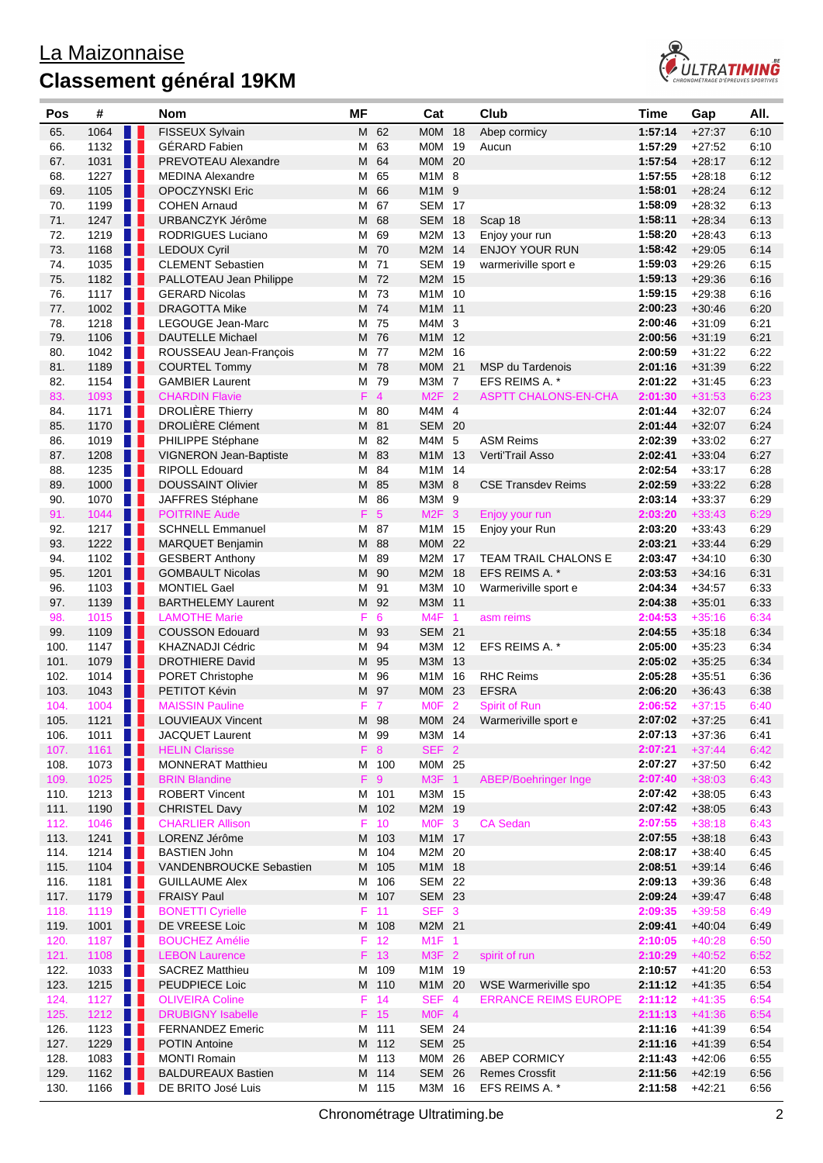

| Pos          | #            |                   | Nom                                              | <b>MF</b> |                 | Cat                    |    | Club                        | <b>Time</b>        | Gap                  | AII.         |
|--------------|--------------|-------------------|--------------------------------------------------|-----------|-----------------|------------------------|----|-----------------------------|--------------------|----------------------|--------------|
| 65.          | 1064         |                   | FISSEUX Sylvain                                  |           | M 62            | <b>MOM 18</b>          |    | Abep cormicy                | 1:57:14            | $+27:37$             | 6:10         |
| 66.          | 1132         |                   | <b>GÉRARD Fabien</b>                             |           | M 63            | M0M 19                 |    | Aucun                       | 1:57:29            | $+27:52$             | 6:10         |
| 67.          | 1031         | n H               | PREVOTEAU Alexandre                              | M         | 64              | MOM                    | 20 |                             | 1:57:54            | $+28:17$             | 6:12         |
| 68.          | 1227         | a ka              | <b>MEDINA Alexandre</b>                          |           | M 65            | M1M 8                  |    |                             | 1:57:55            | $+28:18$             | 6:12         |
| 69.          | 1105         | a ka              | <b>OPOCZYNSKI Eric</b>                           | M         | 66              | M1M 9                  |    |                             | 1:58:01            | $+28:24$             | 6:12         |
| 70.          | 1199         | <b>TELEVISION</b> | <b>COHEN Arnaud</b>                              | M         | 67              | <b>SEM 17</b>          |    |                             | 1:58:09            | $+28:32$             | 6:13         |
| 71.          | 1247         | n e               | URBANCZYK Jérôme                                 | M         | 68              | <b>SEM 18</b>          |    | Scap 18                     | 1:58:11            | $+28:34$             | 6:13         |
| 72.          | 1219         | n p               | <b>RODRIGUES Luciano</b>                         |           | M 69            | M2M 13                 |    | Enjoy your run              | 1:58:20            | $+28:43$             | 6:13         |
| 73.          | 1168         | . .               | <b>LEDOUX Cyril</b>                              |           | M 70            | M2M 14                 |    | <b>ENJOY YOUR RUN</b>       | 1:58:42            | $+29:05$             | 6:14         |
| 74.          | 1035         | n p               | <b>CLEMENT Sebastien</b>                         | м         | 71              | <b>SEM 19</b>          |    | warmeriville sport e        | 1:59:03            | $+29:26$             | 6:15         |
| 75.          | 1182         | n e               | PALLOTEAU Jean Philippe                          |           | M 72            | M2M 15                 |    |                             | 1:59:13            | $+29:36$             | 6:16         |
| 76.          | 1117         | <b>TELEVISION</b> | <b>GERARD Nicolas</b>                            |           | M 73            | M1M 10                 |    |                             | 1:59:15            | $+29.38$             | 6:16         |
| 77.          | 1002         | H H               | <b>DRAGOTTA Mike</b>                             |           | M 74            | M1M 11                 |    |                             | 2:00:23            | $+30:46$             | 6:20         |
| 78.          | 1218         | H II              | LEGOUGE Jean-Marc                                | М         | 75              | M4M 3                  |    |                             | 2:00:46            | $+31:09$             | 6:21         |
| 79.          | 1106         | H.                | <b>DAUTELLE Michael</b>                          |           | M 76            | M1M 12                 |    |                             | 2:00:56            | $+31:19$             | 6:21         |
| 80.          | 1042         | <b>TELEVISION</b> | ROUSSEAU Jean-François                           |           | M 77            | M2M 16                 |    |                             | 2:00:59            | $+31:22$             | 6:22         |
| 81.          | 1189         | n n               | <b>COURTEL Tommy</b>                             |           | M 78            | M0M 21                 |    | <b>MSP du Tardenois</b>     | 2:01:16            | $+31:39$             | 6:22         |
| 82.          | 1154         | n n               | <b>GAMBIER Laurent</b>                           |           | M 79            | M3M 7                  |    | EFS REIMS A. *              | 2:01:22            | $+31:45$             | 6:23         |
| 83.          | 1093         | H L<br>n p        | <b>CHARDIN Flavie</b><br><b>DROLIÈRE Thierry</b> |           | $F$ 4<br>M 80   | $M2F$ 2                |    | <b>ASPTT CHALONS-EN-CHA</b> | 2:01:30            | $+31:53$             | 6:23<br>6:24 |
| 84.<br>85.   | 1171<br>1170 | l I               | <b>DROLIÈRE Clément</b>                          |           | M 81            | M4M 4<br><b>SEM 20</b> |    |                             | 2:01:44<br>2:01:44 | $+32:07$<br>$+32:07$ | 6:24         |
| 86.          | 1019         | H I               | PHILIPPE Stéphane                                |           | M 82            | M4M 5                  |    | <b>ASM Reims</b>            | 2:02:39            | $+33:02$             | 6:27         |
| 87.          | 1208         | a ka              | <b>VIGNERON Jean-Baptiste</b>                    |           | M 83            | M1M 13                 |    | Verti'Trail Asso            | 2:02:41            | $+33:04$             | 6:27         |
| 88.          | 1235         | n p               | <b>RIPOLL Edouard</b>                            |           | M 84            | M1M 14                 |    |                             | 2:02:54            | $+33:17$             | 6:28         |
| 89.          | 1000         | a ka              | <b>DOUSSAINT Olivier</b>                         | M         | 85              | M3M 8                  |    | <b>CSE Transdev Reims</b>   | 2:02:59            | $+33:22$             | 6:28         |
| 90.          | 1070         | <b>TELEVISION</b> | JAFFRES Stéphane                                 |           | M 86            | M3M 9                  |    |                             | 2:03:14            | $+33:37$             | 6:29         |
| 91.          | 1044         | H                 | <b>POITRINE Aude</b>                             | F         | $5\phantom{.0}$ | M2F <sub>3</sub>       |    | Enjoy your run              | 2:03:20            | $+33:43$             | 6:29         |
| 92.          | 1217         | n p               | <b>SCHNELL Emmanuel</b>                          | Μ         | 87              | M1M 15                 |    | Enjoy your Run              | 2:03:20            | $+33:43$             | 6:29         |
| 93.          | 1222         | n a s             | MARQUET Benjamin                                 | M         | - 88            | M0M 22                 |    |                             | 2:03:21            | $+33.44$             | 6:29         |
| 94.          | 1102         | n p               | <b>GESBERT Anthony</b>                           | М         | 89              | M2M 17                 |    | TEAM TRAIL CHALONS E        | 2:03:47            | $+34:10$             | 6:30         |
| 95.          | 1201         | W                 | <b>GOMBAULT Nicolas</b>                          |           | M 90            | M2M 18                 |    | EFS REIMS A. *              | 2:03:53            | $+34:16$             | 6:31         |
| 96.          | 1103         | H I               | <b>MONTIEL Gael</b>                              | м         | 91              | M3M 10                 |    | Warmeriville sport e        | 2:04:34            | $+34:57$             | 6:33         |
| 97.          | 1139         | H L               | <b>BARTHELEMY Laurent</b>                        |           | M 92            | M3M 11                 |    |                             | 2:04:38            | $+35:01$             | 6:33         |
| 98.          | 1015         | <b>TELEVISION</b> | <b>LAMOTHE Marie</b>                             | F.        | 6               | M4F 1                  |    | asm reims                   | 2:04:53            | $+35:16$             | 6:34         |
| 99.          | 1109         | n a s             | <b>COUSSON Edouard</b>                           |           | M 93            | <b>SEM 21</b>          |    |                             | 2:04:55            | $+35:18$             | 6:34         |
| 100.         | 1147         | <b>TELEVISION</b> | KHAZNADJI Cédric                                 |           | M 94            | M3M 12                 |    | EFS REIMS A. *              | 2:05:00            | $+35:23$             | 6:34         |
| 101.         | 1079         | n e               | <b>DROTHIERE David</b>                           |           | M 95            | M3M 13                 |    |                             | 2:05:02            | $+35:25$             | 6:34         |
| 102.         | 1014         | n a               | PORET Christophe                                 |           | M 96            | M1M 16                 |    | <b>RHC Reims</b>            | 2:05:28            | $+35:51$             | 6:36         |
| 103.         | 1043         |                   | PETITOT Kévin                                    | M         | 97              | M0M 23                 |    | <b>EFSRA</b>                | 2:06:20            | $+36.43$             | 6:38         |
| 104.         | 1004         | n a               | <b>MAISSIN Pauline</b>                           | F.        | $\overline{7}$  | MOF <sub>2</sub>       |    | <b>Spirit of Run</b>        | 2:06:52            | $+37:15$             | 6:40         |
| 105.         | 1121         | H I               | LOUVIEAUX Vincent                                |           | M 98            | M0M 24                 |    | Warmeriville sport e        | 2:07:02            | $+37:25$             | 6:41         |
| 106.         | 1011         | n a s             | <b>JACQUET Laurent</b>                           |           | M 99            | M3M 14                 |    |                             | 2:07:13            | $+37:36$             | 6:41         |
| 107.         | 1161         |                   | <b>HELIN Clarisse</b>                            |           | F 8             | SEF <sub>2</sub>       |    |                             | 2:07:21            | $+37:44$             | 6:42         |
| 108.         | 1073         | n a               | MONNERAT Matthieu                                |           | M 100           | M0M 25                 |    |                             | 2:07:27            | $+37:50$             | 6:42         |
| 109.         | 1025         | H H               | <b>BRIN Blandine</b>                             |           | $F \ 9$         | M3F 1                  |    | <b>ABEP/Boehringer Inge</b> | 2:07:40            | $+38:03$             | 6:43         |
| 110.         | 1213         | <b>TELEVISION</b> | <b>ROBERT Vincent</b>                            |           | M 101           | M3M 15                 |    |                             | 2:07:42            | $+38:05$             | 6:43         |
| 111.         | 1190         | n a s             | <b>CHRISTEL Davy</b>                             |           | M 102           | M2M 19                 |    |                             | 2:07:42            | $+38:05$             | 6:43         |
| 112.         | 1046         | n p               | <b>CHARLIER Allison</b>                          |           | $F$ 10          | MOF <sub>3</sub>       |    | <b>CA Sedan</b>             | 2:07:55            | $+38:18$             | 6:43         |
| 113.         | 1241         | H H               | LORENZ Jérôme                                    |           | M 103           | M1M 17                 |    |                             | 2:07:55<br>2:08:17 | $+38:18$             | 6:43         |
| 114.<br>115. | 1214         | <b>TELEVISION</b> | <b>BASTIEN John</b><br>VANDENBROUCKE Sebastien   |           | M 104           | M2M 20<br>M1M 18       |    |                             | 2:08:51            | $+38:40$<br>$+39:14$ | 6:45<br>6:46 |
| 116.         | 1104<br>1181 |                   | <b>GUILLAUME Alex</b>                            |           | M 105<br>M 106  | <b>SEM 22</b>          |    |                             | 2:09:13            | $+39:36$             | 6:48         |
| 117.         | 1179         |                   | <b>FRAISY Paul</b>                               |           | M 107           | <b>SEM 23</b>          |    |                             | 2:09:24            | $+39.47$             | 6:48         |
| 118.         | 1119         | n n               | <b>BONETTI Cyrielle</b>                          |           | $F = 11$        | SEF <sub>3</sub>       |    |                             | 2:09:35            | $+39:58$             | 6:49         |
| 119.         | 1001         | n L               | DE VREESE Loic                                   |           | M 108           | M2M 21                 |    |                             | 2:09:41            | $+40:04$             | 6:49         |
| 120.         | 1187         | n a               | <b>BOUCHEZ Amélie</b>                            |           | $F$ 12          | M1F 1                  |    |                             | 2:10:05            | $+40:28$             | 6:50         |
| 121.         | 1108         | W                 | <b>LEBON Laurence</b>                            |           | F 13            | M3F 2                  |    | spirit of run               | 2:10:29            | $+40:52$             | 6:52         |
| 122.         | 1033         | <b>TELEVISION</b> | <b>SACREZ Matthieu</b>                           |           | M 109           | M1M 19                 |    |                             | 2:10:57            | $+41:20$             | 6:53         |
| 123.         | 1215         | H                 | PEUDPIECE Loic                                   |           | M 110           | M1M 20                 |    | WSE Warmeriville spo        | 2:11:12            | $+41:35$             | 6:54         |
| 124.         | 1127         | n n               | <b>OLIVEIRA Coline</b>                           |           | $F$ 14          | SEF 4                  |    | <b>ERRANCE REIMS EUROPE</b> | 2:11:12            | $+41:35$             | 6:54         |
| 125.         | 1212         | H                 | <b>DRUBIGNY Isabelle</b>                         |           | $F$ 15          | MOF 4                  |    |                             | 2:11:13            | $+41:36$             | 6:54         |
| 126.         | 1123         | <b>TELEVISION</b> | <b>FERNANDEZ Emeric</b>                          |           | M 111           | <b>SEM 24</b>          |    |                             | 2:11:16            | $+41:39$             | 6:54         |
| 127.         | 1229         | a ka              | <b>POTIN Antoine</b>                             |           | M 112           | <b>SEM 25</b>          |    |                             | 2:11:16            | $+41:39$             | 6:54         |
| 128.         | 1083         | n a               | <b>MONTI Romain</b>                              |           | M 113           | M0M 26                 |    | <b>ABEP CORMICY</b>         | 2:11:43            | $+42:06$             | 6:55         |
| 129.         | 1162         | n a s             | <b>BALDUREAUX Bastien</b>                        |           | M 114           | <b>SEM 26</b>          |    | <b>Remes Crossfit</b>       | 2:11:56            | $+42:19$             | 6:56         |
| 130.         | 1166         |                   | DE BRITO José Luis                               |           | M 115           | M3M 16                 |    | EFS REIMS A. *              | 2:11:58            | $+42:21$             | 6:56         |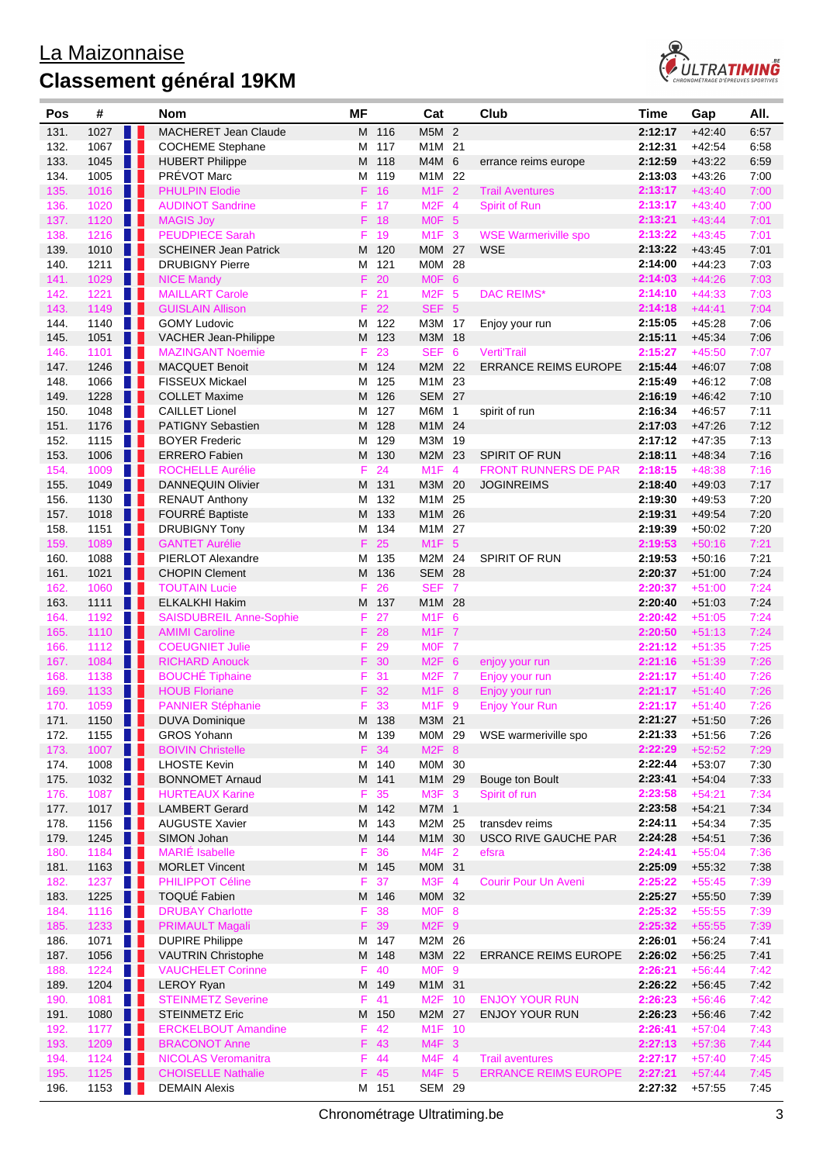

| Pos          | #                   | Nom                                                          | <b>MF</b> |               | Cat                        | Club                        | <b>Time</b>        | Gap                  | AII.         |
|--------------|---------------------|--------------------------------------------------------------|-----------|---------------|----------------------------|-----------------------------|--------------------|----------------------|--------------|
| 131.         | 1027                | <b>MACHERET Jean Claude</b><br>a ka                          |           | M 116         | M5M 2                      |                             | 2:12:17            | $+42:40$             | 6:57         |
| 132.         | 1067                | n II<br><b>COCHEME Stephane</b>                              | м         | 117           | M1M 21                     |                             | 2:12:31            | $+42:54$             | 6:58         |
| 133.         | 1045                | <b>HUBERT Philippe</b>                                       | М         | 118           | M4M 6                      | errance reims europe        | 2:12:59            | $+43:22$             | 6:59         |
| 134.         | 1005                | PRÉVOT Marc<br>n L                                           | M         | 119           | M1M 22                     |                             | 2:13:03            | $+43:26$             | 7:00         |
| 135.         | 1016                | <b>PHULPIN Elodie</b><br>n e s                               |           | F 16          | $M1F$ 2                    | <b>Trail Aventures</b>      | 2:13:17            | $+43:40$             | 7:00         |
| 136.         | 1020                | H II<br><b>AUDINOT Sandrine</b>                              | F.        | 17            | M2F 4                      | Spirit of Run               | 2:13:17            | $+43:40$             | 7:00         |
| 137.         | 1120                | a ka<br><b>MAGIS Joy</b>                                     |           | F 18          | MOF <sub>5</sub>           |                             | 2:13:21            | $+43:44$             | 7:01         |
| 138.         | 1216                | n L<br><b>PEUDPIECE Sarah</b>                                |           | F 19          | $M1F$ 3                    | <b>WSE Warmeriville spo</b> | 2:13:22            | $+43:45$             | 7:01         |
| 139.         | 1010                | H H<br><b>SCHEINER Jean Patrick</b>                          | M         | 120           | <b>MOM 27</b>              | <b>WSE</b>                  | 2:13:22            | $+43.45$             | 7:01         |
| 140.         | 1211                | H I<br><b>DRUBIGNY Pierre</b>                                | м         | 121           | M0M 28                     |                             | 2:14:00            | $+44.23$             | 7:03         |
| 141.         | 1029                | H<br><b>NICE Mandy</b>                                       |           | $F$ 20        | MOF <sub>6</sub>           |                             | 2:14:03            | $+44:26$             | 7:03         |
| 142.         | 1221                | n p<br><b>MAILLART Carole</b>                                |           | $F$ 21        | M <sub>2</sub> F 5         | <b>DAC REIMS*</b>           | 2:14:10            | $+44:33$             | 7:03         |
| 143.         | 1149                | H.<br><b>GUISLAIN Allison</b>                                |           | F 22          | SEF 5                      |                             | 2:14:18            | $+44:41$             | 7:04         |
| 144.         | 1140                | <b>GOMY Ludovic</b>                                          |           | M 122         | M3M 17                     | Enjoy your run              | 2:15:05            | $+45.28$             | 7:06         |
| 145.         | 1051                | H.<br>VACHER Jean-Philippe                                   |           | M 123         | M3M 18                     |                             | 2:15:11            | $+45.34$             | 7:06         |
| 146.         | 1101                | n I<br><b>MAZINGANT Noemie</b>                               | F.        | 23            | SEF 6                      | <b>Verti'Trail</b>          | 2:15:27            | $+45:50$             | 7:07         |
| 147.         | 1246                | <b>TELEVISION</b><br><b>MACQUET Benoit</b>                   |           | M 124         | M2M 22                     | <b>ERRANCE REIMS EUROPE</b> | 2:15:44            | $+46:07$             | 7:08         |
| 148.         | 1066                | <b>TELEVISION</b><br><b>FISSEUX Mickael</b>                  |           | M 125         | M1M 23<br><b>SEM 27</b>    |                             | 2:15:49            | $+46:12$             | 7:08         |
| 149.         | 1228                | W<br><b>COLLET Maxime</b><br>n I                             | M         | 126<br>127    | M6M 1                      |                             | 2:16:19            | $+46.42$             | 7:10<br>7:11 |
| 150.<br>151. | 1048<br>1176        | <b>CAILLET Lionel</b><br><b>PATIGNY Sebastien</b><br>H.<br>г | м<br>м    | 128           | M1M 24                     | spirit of run               | 2:16:34<br>2:17:03 | $+46:57$<br>$+47:26$ | 7:12         |
| 152.         | 1115                | <b>TELESCO</b><br><b>BOYER Frederic</b>                      | M         | 129           | M3M 19                     |                             | 2:17:12            | $+47:35$             | 7:13         |
| 153.         | 1006                | . .<br><b>ERRERO</b> Fabien                                  |           | M 130         | M2M 23                     | <b>SPIRIT OF RUN</b>        | 2:18:11            | $+48:34$             | 7:16         |
| 154.         | 1009                | n p<br><b>ROCHELLE Aurélie</b>                               | F         | 24            | $M1F$ 4                    | <b>FRONT RUNNERS DE PAR</b> | 2:18:15            | $+48:38$             | 7:16         |
| 155.         | 1049                | a a s<br><b>DANNEQUIN Olivier</b>                            |           | M 131         | M3M 20                     | <b>JOGINREIMS</b>           | 2:18:40            | $+49:03$             | 7:17         |
| 156.         | 1130                | H I<br><b>RENAUT Anthony</b>                                 | M         | 132           | M1M 25                     |                             | 2:19:30            | $+49.53$             | 7:20         |
| 157.         | 1018                | FOURRÉ Baptiste<br>Ш                                         | M         | 133           | M1M 26                     |                             | 2:19:31            | $+49.54$             | 7:20         |
| 158.         | 1151                | <b>TELEVISION</b><br><b>DRUBIGNY Tony</b>                    | M         | 134           | M1M 27                     |                             | 2:19:39            | $+50:02$             | 7:20         |
| 159.         | 1089                | n n<br><b>GANTET Aurélie</b>                                 |           | $F$ 25        | M <sub>1</sub> F 5         |                             | 2:19:53            | $+50:16$             | 7:21         |
| 160.         | 1088                | PIERLOT Alexandre<br>n II                                    | м         | 135           | M2M 24                     | <b>SPIRIT OF RUN</b>        | 2:19:53            | $+50:16$             | 7:21         |
| 161.         | 1021                | H H<br><b>CHOPIN Clement</b>                                 |           | M 136         | <b>SEM 28</b>              |                             | 2:20:37            | $+51:00$             | 7:24         |
| 162.         | 1060                | <b>TELEVISION</b><br><b>TOUTAIN Lucie</b>                    | F         | 26            | SEF 7                      |                             | 2:20:37            | $+51:00$             | 7:24         |
| 163.         | 1111                | H T<br><b>ELKALKHI Hakim</b>                                 |           | M 137         | M1M 28                     |                             | 2:20:40            | $+51:03$             | 7:24         |
| 164.         | 1192                | n a<br><b>SAISDUBREIL Anne-Sophie</b>                        |           | F 27          | M <sub>1</sub> F 6         |                             | 2:20:42            | $+51:05$             | 7:24         |
| 165.         | 1110                | W<br><b>AMIMI Caroline</b>                                   |           | F 28          | M1F 7                      |                             | 2:20:50            | $+51:13$             | 7:24         |
| 166.         | 1112                | H I<br><b>COEUGNIET Julie</b>                                |           | F 29          | MOF 7                      |                             | 2:21:12            | $+51:35$             | 7:25         |
| 167.         | 1084                | H.<br><b>RICHARD Anouck</b>                                  |           | F 30          | $M2F$ 6                    | enjoy your run              | 2:21:16            | $+51:39$             | 7:26         |
| 168.         | 1138                | n t<br><b>BOUCHÉ Tiphaine</b>                                |           | F 31          | <b>M2F 7</b>               | Enjoy your run              | 2:21:17            | $+51:40$             | 7:26         |
| 169.         | 1133                | n a s<br><b>HOUB Floriane</b>                                |           | F 32          | M <sub>1</sub> F 8         | Enjoy your run              | 2:21:17            | $+51:40$             | 7:26         |
| 170.         | 1059                | <b>TERR</b><br><b>PANNIER Stéphanie</b>                      |           | F 33          | $M1F$ 9                    | <b>Enjoy Your Run</b>       | 2:21:17            | $+51:40$             | 7:26         |
| 171.         | 1150 $\blacksquare$ | <b>DUVA Dominique</b>                                        |           | M 138         | M3M 21                     |                             | 2:21:27            | $+51:50$             | 7:26         |
| 172.         | 1155                | <b>GROS Yohann</b><br>n a                                    |           | M 139         | M0M 29                     | WSE warmeriville spo        | 2:21:33            | $+51:56$             | 7:26         |
| 173.         | 1007                | <b>BOIVIN Christelle</b>                                     |           | F 34          | M2F 8                      |                             | 2:22:29            | $+52:52$             | 7:29         |
| 174.         | 1008                | <b>LHOSTE Kevin</b><br>n p                                   |           | M 140         | M0M 30                     |                             | 2:22:44            | $+53:07$             | 7:30         |
| 175.         | 1032                | . .<br><b>BONNOMET Arnaud</b>                                |           | M 141         | M1M 29                     | Bouge ton Boult             | 2:23:41            | $+54:04$             | 7:33         |
| 176.         | 1087                | H<br><b>HURTEAUX Karine</b>                                  | F         | 35            | M3F <sub>3</sub>           | Spirit of run               | 2:23:58            | $+54:21$             | 7:34         |
| 177.         | 1017                | n I<br><b>LAMBERT Gerard</b>                                 |           | M 142         | M7M 1                      |                             | 2:23:58            | $+54.21$             | 7:34         |
| 178.         | 1156                | <b>AUGUSTE Xavier</b>                                        |           | M 143         | M2M 25                     | transdev reims              | 2:24:11            | $+54.34$             | 7:35         |
| 179.         | 1245                | Ш<br>SIMON Johan                                             |           | M 144         | M1M 30                     | <b>USCO RIVE GAUCHE PAR</b> | 2:24:28            | $+54:51$             | 7:36         |
| 180.         | 1184                | <b>TERRIT</b><br><b>MARIÉ</b> Isabelle                       | F.        | 36            | $M4F$ 2                    | efsra                       | 2:24:41            | $+55:04$             | 7:36         |
| 181.         | 1163                | <b>MORLET Vincent</b><br>a sa B                              |           | M 145         | M0M 31                     |                             | 2:25:09            | $+55:32$             | 7:38         |
| 182.         | 1237                | <b>PHILIPPOT Céline</b><br>a pro                             |           | F 37          | $M3F$ 4                    | <b>Courir Pour Un Aveni</b> | 2:25:22            | $+55:45$             | 7:39         |
| 183.         | 1225                | TOQUÉ Fabien<br>n l                                          |           | M 146         | M0M 32                     |                             | 2:25:27            | $+55:50$             | 7:39         |
| 184.         | 1116                | <b>TERRIT</b><br><b>DRUBAY Charlotte</b>                     | F.        | 38            | MOF <sub>8</sub>           |                             | 2:25:32            | $+55:55$             | 7:39         |
| 185.         | 1233                | H<br><b>PRIMAULT Magali</b>                                  | F.        | 39            | $M2F$ 9                    |                             | 2:25:32            | $+55:55$             | 7:39         |
| 186.         | 1071                | n I<br><b>DUPIRE Philippe</b>                                |           | M 147         | M2M 26                     |                             | 2:26:01            | $+56.24$             | 7:41         |
| 187.         | 1056                | n l<br><b>VAUTRIN Christophe</b><br>H I                      |           | M 148<br>F 40 | M3M 22                     | <b>ERRANCE REIMS EUROPE</b> | 2:26:02<br>2:26:21 | $+56:25$             | 7:41         |
| 188.<br>189. | 1224<br>1204        | <b>VAUCHELET Corinne</b><br>a ka                             |           | M 149         | MOF <sub>9</sub><br>M1M 31 |                             | 2:26:22            | $+56:44$<br>$+56:45$ | 7:42<br>7:42 |
| 190.         | 1081                | <b>LEROY Ryan</b><br>n L<br><b>STEINMETZ Severine</b>        |           | F 41          | M2F 10                     | <b>ENJOY YOUR RUN</b>       | 2:26:23            | $+56:46$             | 7:42         |
| 191.         | 1080                | <b>STEINMETZ Eric</b>                                        |           | M 150         | M2M 27                     | <b>ENJOY YOUR RUN</b>       | 2:26:23            | $+56.46$             | 7:42         |
| 192.         | 1177                | <b>TELESCO</b><br><b>ERCKELBOUT Amandine</b>                 |           | F 42          | M1F 10                     |                             | 2:26:41            | $+57:04$             | 7:43         |
| 193.         | 1209                | <b>BRACONOT Anne</b><br>n n                                  |           | F 43          | $M4F$ 3                    |                             | 2:27:13            | $+57:36$             | 7:44         |
| 194.         | 1124                | n T<br><b>NICOLAS Veromanitra</b>                            |           | F 44          | $M4F$ 4                    | <b>Trail aventures</b>      | 2:27:17            | $+57:40$             | 7:45         |
| 195.         | 1125                | <b>CHOISELLE Nathalie</b><br>n e s                           |           | F 45          | M4F 5                      | <b>ERRANCE REIMS EUROPE</b> | 2:27:21            | $+57:44$             | 7:45         |
| 196.         | 1153                | $\blacksquare$<br><b>DEMAIN Alexis</b>                       |           | M 151         | <b>SEM 29</b>              |                             | 2:27:32            | $+57:55$             | 7:45         |
|              |                     |                                                              |           |               |                            |                             |                    |                      |              |